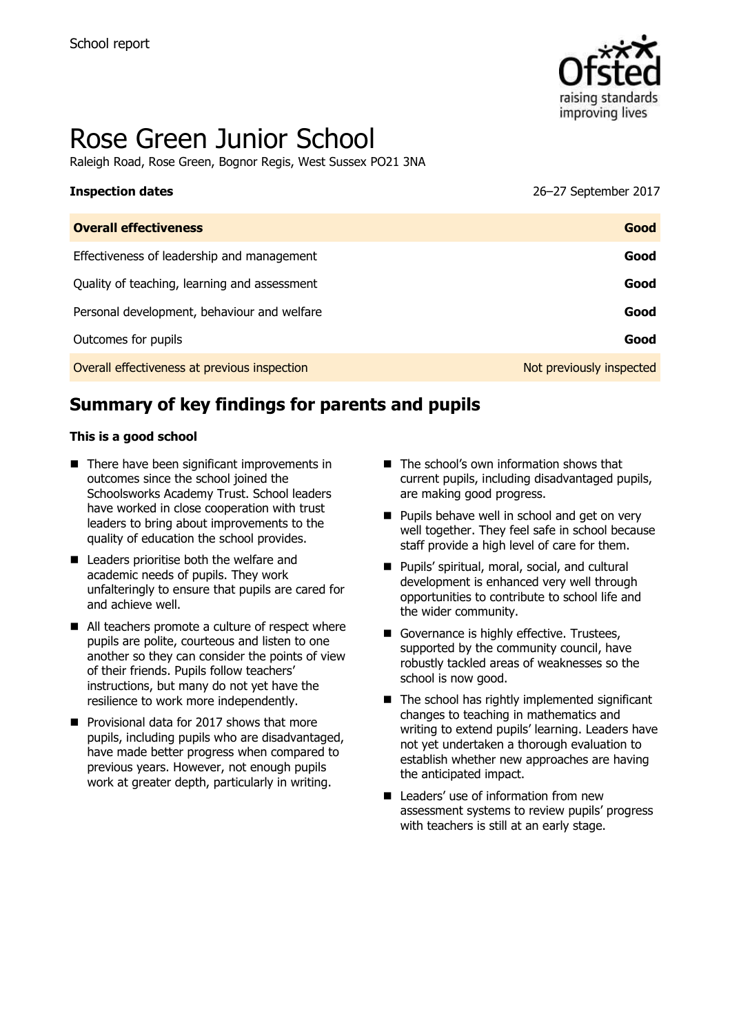

# Rose Green Junior School

Raleigh Road, Rose Green, Bognor Regis, West Sussex PO21 3NA

# **Inspection dates** 26–27 September 2017

| <b>Overall effectiveness</b>                 | Good                     |
|----------------------------------------------|--------------------------|
| Effectiveness of leadership and management   | Good                     |
| Quality of teaching, learning and assessment | Good                     |
| Personal development, behaviour and welfare  | Good                     |
| Outcomes for pupils                          | Good                     |
| Overall effectiveness at previous inspection | Not previously inspected |

# **Summary of key findings for parents and pupils**

#### **This is a good school**

- $\blacksquare$  There have been significant improvements in outcomes since the school joined the Schoolsworks Academy Trust. School leaders have worked in close cooperation with trust leaders to bring about improvements to the quality of education the school provides.
- Leaders prioritise both the welfare and academic needs of pupils. They work unfalteringly to ensure that pupils are cared for and achieve well.
- All teachers promote a culture of respect where pupils are polite, courteous and listen to one another so they can consider the points of view of their friends. Pupils follow teachers' instructions, but many do not yet have the resilience to work more independently.
- Provisional data for 2017 shows that more pupils, including pupils who are disadvantaged, have made better progress when compared to previous years. However, not enough pupils work at greater depth, particularly in writing.
- The school's own information shows that current pupils, including disadvantaged pupils, are making good progress.
- **Pupils behave well in school and get on very** well together. They feel safe in school because staff provide a high level of care for them.
- **Pupils' spiritual, moral, social, and cultural** development is enhanced very well through opportunities to contribute to school life and the wider community.
- Governance is highly effective. Trustees, supported by the community council, have robustly tackled areas of weaknesses so the school is now good.
- $\blacksquare$  The school has rightly implemented significant changes to teaching in mathematics and writing to extend pupils' learning. Leaders have not yet undertaken a thorough evaluation to establish whether new approaches are having the anticipated impact.
- Leaders' use of information from new assessment systems to review pupils' progress with teachers is still at an early stage.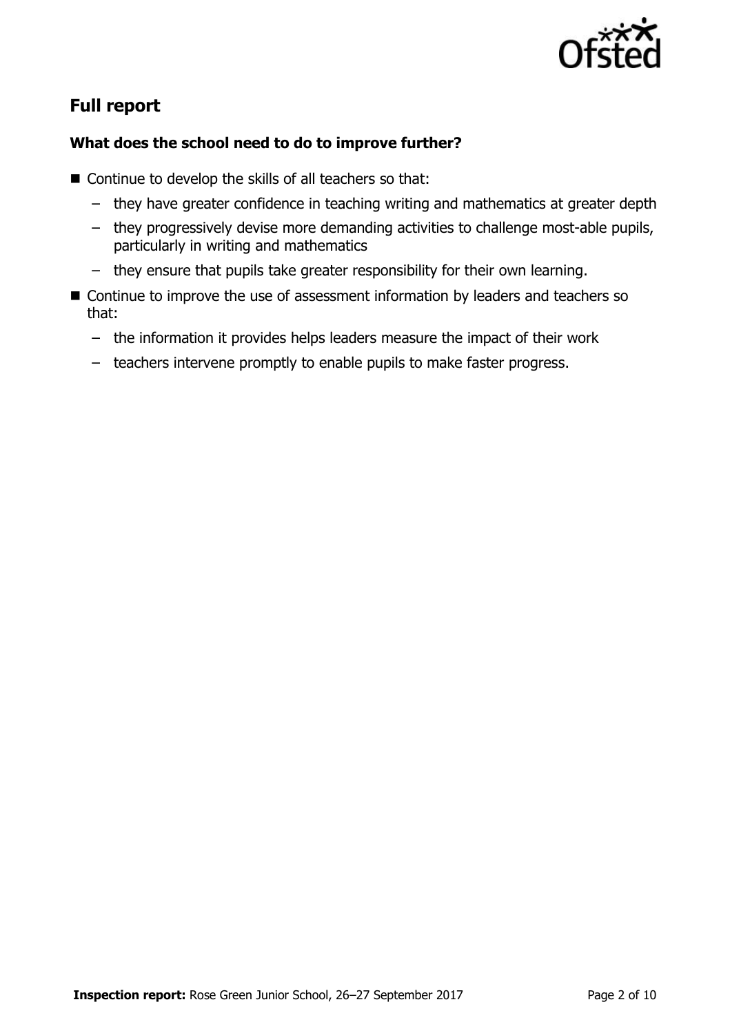

# **Full report**

### **What does the school need to do to improve further?**

- Continue to develop the skills of all teachers so that:
	- they have greater confidence in teaching writing and mathematics at greater depth
	- they progressively devise more demanding activities to challenge most-able pupils, particularly in writing and mathematics
	- they ensure that pupils take greater responsibility for their own learning.
- Continue to improve the use of assessment information by leaders and teachers so that:
	- the information it provides helps leaders measure the impact of their work
	- teachers intervene promptly to enable pupils to make faster progress.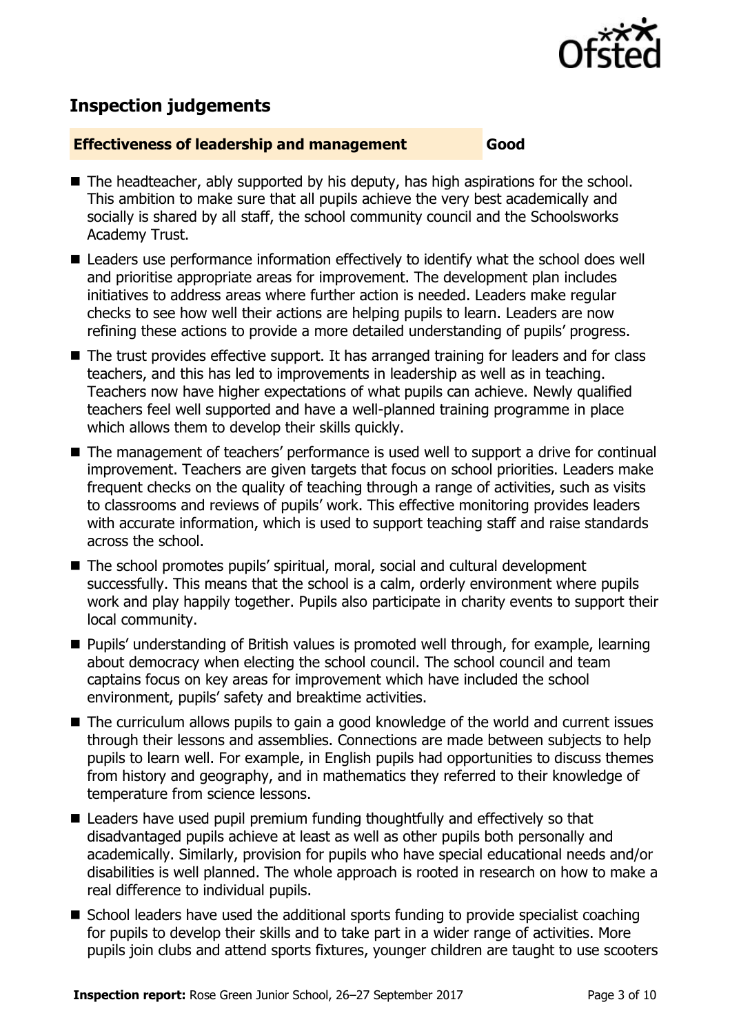

# **Inspection judgements**

#### **Effectiveness of leadership and management Good**

- The headteacher, ably supported by his deputy, has high aspirations for the school. This ambition to make sure that all pupils achieve the very best academically and socially is shared by all staff, the school community council and the Schoolsworks Academy Trust.
- Leaders use performance information effectively to identify what the school does well and prioritise appropriate areas for improvement. The development plan includes initiatives to address areas where further action is needed. Leaders make regular checks to see how well their actions are helping pupils to learn. Leaders are now refining these actions to provide a more detailed understanding of pupils' progress.
- The trust provides effective support. It has arranged training for leaders and for class teachers, and this has led to improvements in leadership as well as in teaching. Teachers now have higher expectations of what pupils can achieve. Newly qualified teachers feel well supported and have a well-planned training programme in place which allows them to develop their skills quickly.
- The management of teachers' performance is used well to support a drive for continual improvement. Teachers are given targets that focus on school priorities. Leaders make frequent checks on the quality of teaching through a range of activities, such as visits to classrooms and reviews of pupils' work. This effective monitoring provides leaders with accurate information, which is used to support teaching staff and raise standards across the school.
- The school promotes pupils' spiritual, moral, social and cultural development successfully. This means that the school is a calm, orderly environment where pupils work and play happily together. Pupils also participate in charity events to support their local community.
- Pupils' understanding of British values is promoted well through, for example, learning about democracy when electing the school council. The school council and team captains focus on key areas for improvement which have included the school environment, pupils' safety and breaktime activities.
- The curriculum allows pupils to gain a good knowledge of the world and current issues through their lessons and assemblies. Connections are made between subjects to help pupils to learn well. For example, in English pupils had opportunities to discuss themes from history and geography, and in mathematics they referred to their knowledge of temperature from science lessons.
- Leaders have used pupil premium funding thoughtfully and effectively so that disadvantaged pupils achieve at least as well as other pupils both personally and academically. Similarly, provision for pupils who have special educational needs and/or disabilities is well planned. The whole approach is rooted in research on how to make a real difference to individual pupils.
- $\blacksquare$  School leaders have used the additional sports funding to provide specialist coaching for pupils to develop their skills and to take part in a wider range of activities. More pupils join clubs and attend sports fixtures, younger children are taught to use scooters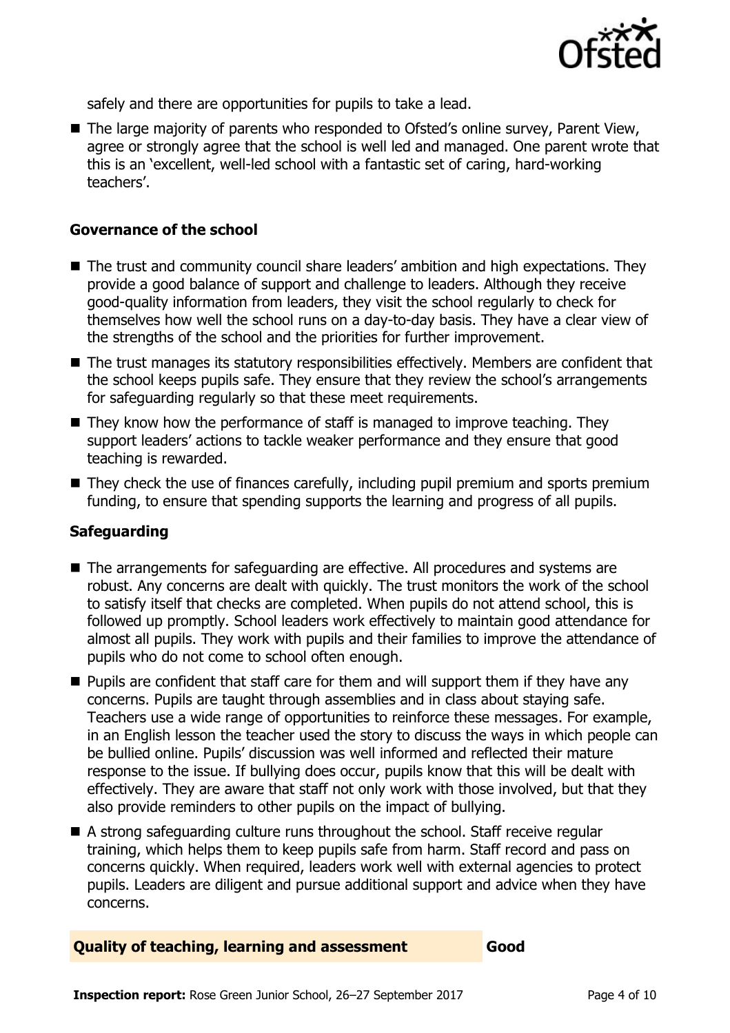

safely and there are opportunities for pupils to take a lead.

■ The large majority of parents who responded to Ofsted's online survey, Parent View, agree or strongly agree that the school is well led and managed. One parent wrote that this is an 'excellent, well-led school with a fantastic set of caring, hard-working teachers'.

#### **Governance of the school**

- The trust and community council share leaders' ambition and high expectations. They provide a good balance of support and challenge to leaders. Although they receive good-quality information from leaders, they visit the school regularly to check for themselves how well the school runs on a day-to-day basis. They have a clear view of the strengths of the school and the priorities for further improvement.
- The trust manages its statutory responsibilities effectively. Members are confident that the school keeps pupils safe. They ensure that they review the school's arrangements for safeguarding regularly so that these meet requirements.
- $\blacksquare$  They know how the performance of staff is managed to improve teaching. They support leaders' actions to tackle weaker performance and they ensure that good teaching is rewarded.
- $\blacksquare$  They check the use of finances carefully, including pupil premium and sports premium funding, to ensure that spending supports the learning and progress of all pupils.

#### **Safeguarding**

- The arrangements for safeguarding are effective. All procedures and systems are robust. Any concerns are dealt with quickly. The trust monitors the work of the school to satisfy itself that checks are completed. When pupils do not attend school, this is followed up promptly. School leaders work effectively to maintain good attendance for almost all pupils. They work with pupils and their families to improve the attendance of pupils who do not come to school often enough.
- $\blacksquare$  Pupils are confident that staff care for them and will support them if they have any concerns. Pupils are taught through assemblies and in class about staying safe. Teachers use a wide range of opportunities to reinforce these messages. For example, in an English lesson the teacher used the story to discuss the ways in which people can be bullied online. Pupils' discussion was well informed and reflected their mature response to the issue. If bullying does occur, pupils know that this will be dealt with effectively. They are aware that staff not only work with those involved, but that they also provide reminders to other pupils on the impact of bullying.
- A strong safeguarding culture runs throughout the school. Staff receive regular training, which helps them to keep pupils safe from harm. Staff record and pass on concerns quickly. When required, leaders work well with external agencies to protect pupils. Leaders are diligent and pursue additional support and advice when they have concerns.

#### **Quality of teaching, learning and assessment Good**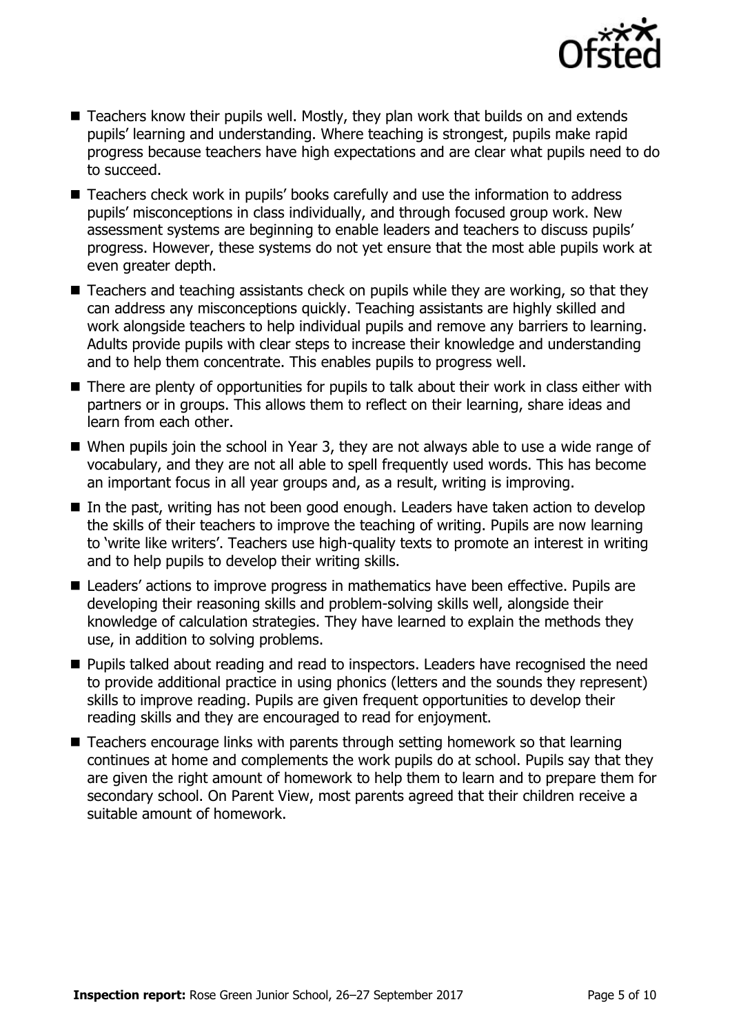

- Teachers know their pupils well. Mostly, they plan work that builds on and extends pupils' learning and understanding. Where teaching is strongest, pupils make rapid progress because teachers have high expectations and are clear what pupils need to do to succeed.
- Teachers check work in pupils' books carefully and use the information to address pupils' misconceptions in class individually, and through focused group work. New assessment systems are beginning to enable leaders and teachers to discuss pupils' progress. However, these systems do not yet ensure that the most able pupils work at even greater depth.
- Teachers and teaching assistants check on pupils while they are working, so that they can address any misconceptions quickly. Teaching assistants are highly skilled and work alongside teachers to help individual pupils and remove any barriers to learning. Adults provide pupils with clear steps to increase their knowledge and understanding and to help them concentrate. This enables pupils to progress well.
- There are plenty of opportunities for pupils to talk about their work in class either with partners or in groups. This allows them to reflect on their learning, share ideas and learn from each other.
- When pupils join the school in Year 3, they are not always able to use a wide range of vocabulary, and they are not all able to spell frequently used words. This has become an important focus in all year groups and, as a result, writing is improving.
- In the past, writing has not been good enough. Leaders have taken action to develop the skills of their teachers to improve the teaching of writing. Pupils are now learning to 'write like writers'. Teachers use high-quality texts to promote an interest in writing and to help pupils to develop their writing skills.
- Leaders' actions to improve progress in mathematics have been effective. Pupils are developing their reasoning skills and problem-solving skills well, alongside their knowledge of calculation strategies. They have learned to explain the methods they use, in addition to solving problems.
- **Pupils talked about reading and read to inspectors. Leaders have recognised the need** to provide additional practice in using phonics (letters and the sounds they represent) skills to improve reading. Pupils are given frequent opportunities to develop their reading skills and they are encouraged to read for enjoyment.
- Teachers encourage links with parents through setting homework so that learning continues at home and complements the work pupils do at school. Pupils say that they are given the right amount of homework to help them to learn and to prepare them for secondary school. On Parent View, most parents agreed that their children receive a suitable amount of homework.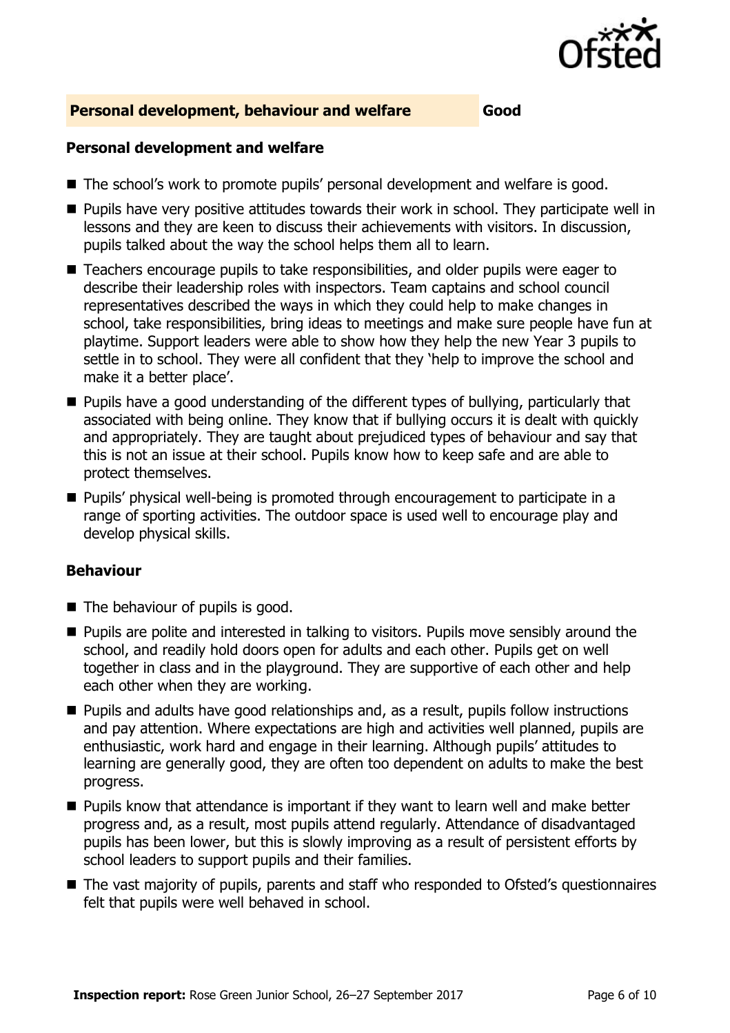

#### **Personal development, behaviour and welfare Good**

#### **Personal development and welfare**

- The school's work to promote pupils' personal development and welfare is good.
- $\blacksquare$  Pupils have very positive attitudes towards their work in school. They participate well in lessons and they are keen to discuss their achievements with visitors. In discussion, pupils talked about the way the school helps them all to learn.
- Teachers encourage pupils to take responsibilities, and older pupils were eager to describe their leadership roles with inspectors. Team captains and school council representatives described the ways in which they could help to make changes in school, take responsibilities, bring ideas to meetings and make sure people have fun at playtime. Support leaders were able to show how they help the new Year 3 pupils to settle in to school. They were all confident that they 'help to improve the school and make it a better place'.
- **Pupils have a good understanding of the different types of bullying, particularly that** associated with being online. They know that if bullying occurs it is dealt with quickly and appropriately. They are taught about prejudiced types of behaviour and say that this is not an issue at their school. Pupils know how to keep safe and are able to protect themselves.
- Pupils' physical well-being is promoted through encouragement to participate in a range of sporting activities. The outdoor space is used well to encourage play and develop physical skills.

#### **Behaviour**

- $\blacksquare$  The behaviour of pupils is good.
- **Pupils are polite and interested in talking to visitors. Pupils move sensibly around the** school, and readily hold doors open for adults and each other. Pupils get on well together in class and in the playground. They are supportive of each other and help each other when they are working.
- **Pupils and adults have good relationships and, as a result, pupils follow instructions** and pay attention. Where expectations are high and activities well planned, pupils are enthusiastic, work hard and engage in their learning. Although pupils' attitudes to learning are generally good, they are often too dependent on adults to make the best progress.
- **Pupils know that attendance is important if they want to learn well and make better** progress and, as a result, most pupils attend regularly. Attendance of disadvantaged pupils has been lower, but this is slowly improving as a result of persistent efforts by school leaders to support pupils and their families.
- The vast majority of pupils, parents and staff who responded to Ofsted's questionnaires felt that pupils were well behaved in school.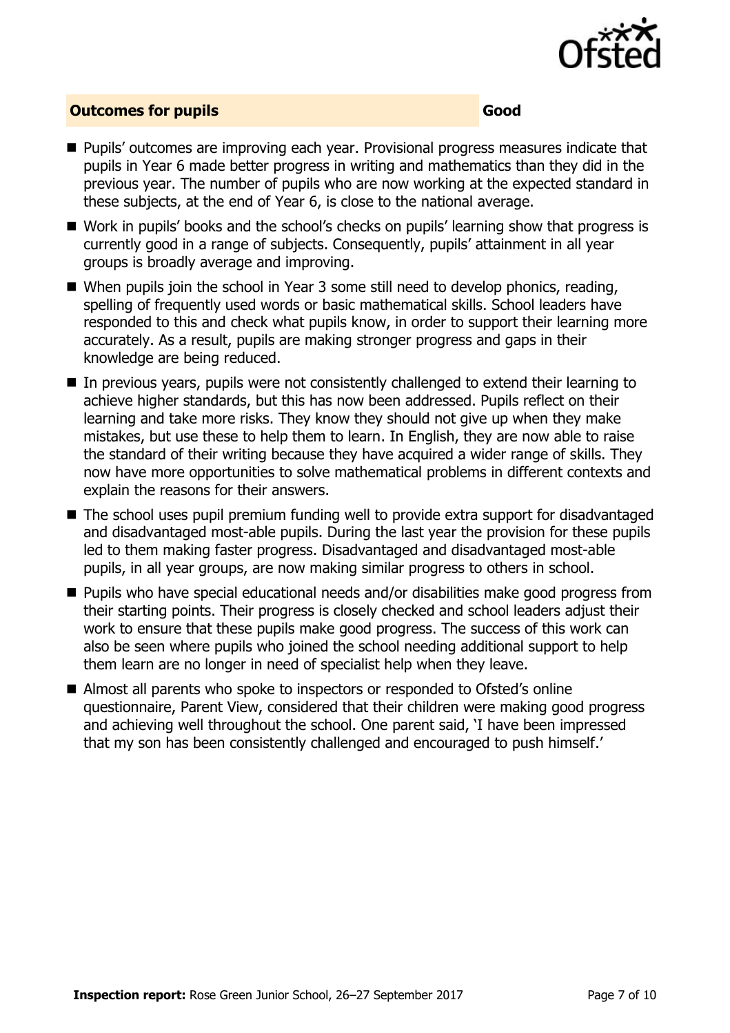

#### **Outcomes for pupils Good**

- Pupils' outcomes are improving each year. Provisional progress measures indicate that pupils in Year 6 made better progress in writing and mathematics than they did in the previous year. The number of pupils who are now working at the expected standard in these subjects, at the end of Year 6, is close to the national average.
- Work in pupils' books and the school's checks on pupils' learning show that progress is currently good in a range of subjects. Consequently, pupils' attainment in all year groups is broadly average and improving.
- When pupils join the school in Year 3 some still need to develop phonics, reading, spelling of frequently used words or basic mathematical skills. School leaders have responded to this and check what pupils know, in order to support their learning more accurately. As a result, pupils are making stronger progress and gaps in their knowledge are being reduced.
- In previous years, pupils were not consistently challenged to extend their learning to achieve higher standards, but this has now been addressed. Pupils reflect on their learning and take more risks. They know they should not give up when they make mistakes, but use these to help them to learn. In English, they are now able to raise the standard of their writing because they have acquired a wider range of skills. They now have more opportunities to solve mathematical problems in different contexts and explain the reasons for their answers.
- The school uses pupil premium funding well to provide extra support for disadvantaged and disadvantaged most-able pupils. During the last year the provision for these pupils led to them making faster progress. Disadvantaged and disadvantaged most-able pupils, in all year groups, are now making similar progress to others in school.
- Pupils who have special educational needs and/or disabilities make good progress from their starting points. Their progress is closely checked and school leaders adjust their work to ensure that these pupils make good progress. The success of this work can also be seen where pupils who joined the school needing additional support to help them learn are no longer in need of specialist help when they leave.
- Almost all parents who spoke to inspectors or responded to Ofsted's online questionnaire, Parent View, considered that their children were making good progress and achieving well throughout the school. One parent said, 'I have been impressed that my son has been consistently challenged and encouraged to push himself.'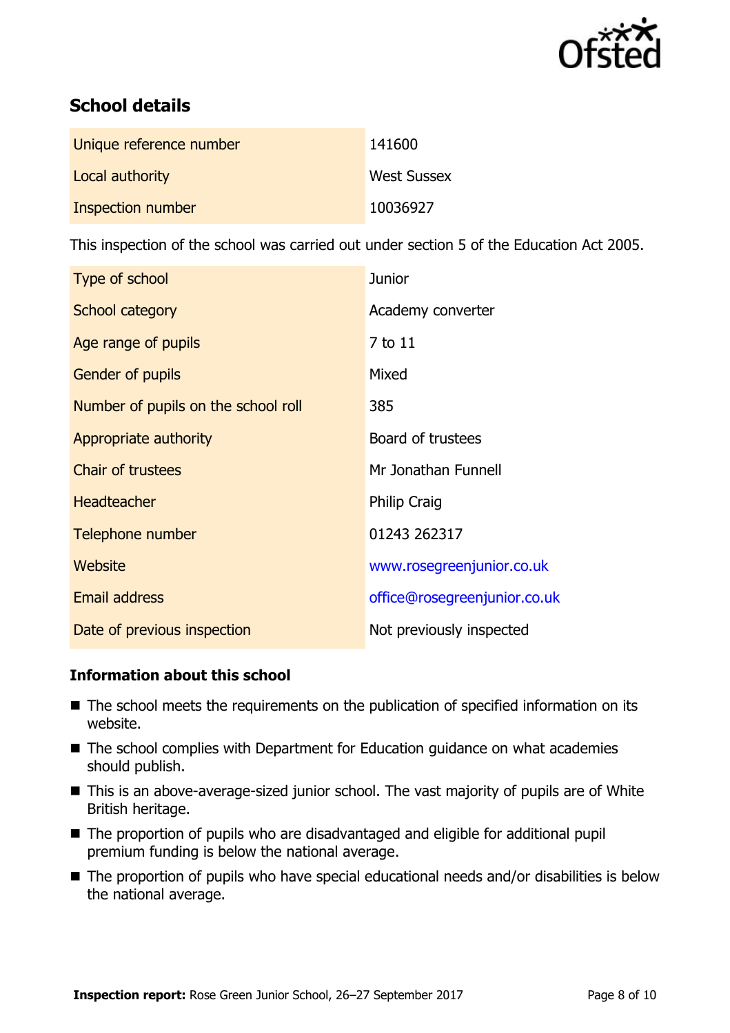

# **School details**

| Unique reference number | 141600             |
|-------------------------|--------------------|
| Local authority         | <b>West Sussex</b> |
| Inspection number       | 10036927           |

This inspection of the school was carried out under section 5 of the Education Act 2005.

| Type of school                      | <b>Junior</b>                |
|-------------------------------------|------------------------------|
| School category                     | Academy converter            |
| Age range of pupils                 | 7 to 11                      |
| <b>Gender of pupils</b>             | Mixed                        |
| Number of pupils on the school roll | 385                          |
| Appropriate authority               | Board of trustees            |
| <b>Chair of trustees</b>            | Mr Jonathan Funnell          |
| <b>Headteacher</b>                  | <b>Philip Craig</b>          |
| Telephone number                    | 01243 262317                 |
| Website                             | www.rosegreenjunior.co.uk    |
| <b>Email address</b>                | office@rosegreenjunior.co.uk |
| Date of previous inspection         | Not previously inspected     |

#### **Information about this school**

- The school meets the requirements on the publication of specified information on its website.
- The school complies with Department for Education guidance on what academies should publish.
- This is an above-average-sized junior school. The vast majority of pupils are of White British heritage.
- The proportion of pupils who are disadvantaged and eligible for additional pupil premium funding is below the national average.
- The proportion of pupils who have special educational needs and/or disabilities is below the national average.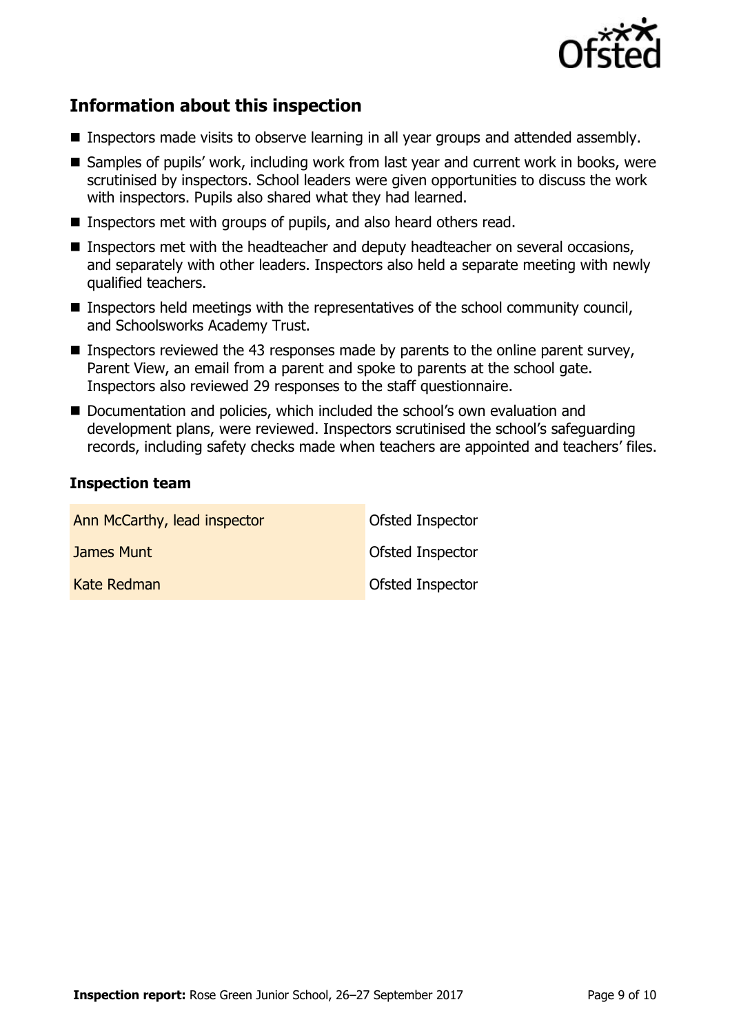

# **Information about this inspection**

- **Inspectors made visits to observe learning in all year groups and attended assembly.**
- Samples of pupils' work, including work from last year and current work in books, were scrutinised by inspectors. School leaders were given opportunities to discuss the work with inspectors. Pupils also shared what they had learned.
- Inspectors met with groups of pupils, and also heard others read.
- **Inspectors met with the headteacher and deputy headteacher on several occasions,** and separately with other leaders. Inspectors also held a separate meeting with newly qualified teachers.
- Inspectors held meetings with the representatives of the school community council, and Schoolsworks Academy Trust.
- **Inspectors reviewed the 43 responses made by parents to the online parent survey,** Parent View, an email from a parent and spoke to parents at the school gate. Inspectors also reviewed 29 responses to the staff questionnaire.
- Documentation and policies, which included the school's own evaluation and development plans, were reviewed. Inspectors scrutinised the school's safeguarding records, including safety checks made when teachers are appointed and teachers' files.

#### **Inspection team**

| Ann McCarthy, lead inspector | Ofsted Inspector |
|------------------------------|------------------|
| James Munt                   | Ofsted Inspector |
| Kate Redman                  | Ofsted Inspector |